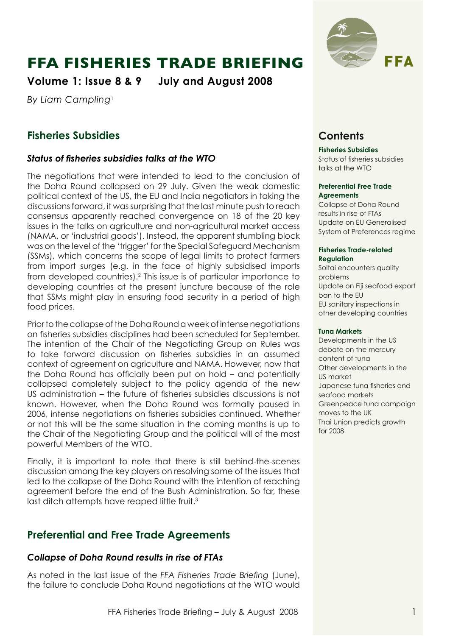# **FFA Fisheries Trade Briefing**

**Volume 1: Issue 8 & 9 July and August 2008**

*By Liam Campling*<sup>1</sup>

# **Fisheries Subsidies**

### *Status of fisheries subsidies talks at the WTO*

The negotiations that were intended to lead to the conclusion of the Doha Round collapsed on 29 July. Given the weak domestic political context of the US, the EU and India negotiators in taking the discussions forward, it was surprising that the last minute push to reach consensus apparently reached convergence on 18 of the 20 key issues in the talks on agriculture and non-agricultural market access (NAMA, or 'industrial goods'). Instead, the apparent stumbling block was on the level of the 'trigger' for the Special Safeguard Mechanism (SSMs), which concerns the scope of legal limits to protect farmers from import surges (e.g. in the face of highly subsidised imports from developed countries).2 This issue is of particular importance to developing countries at the present juncture because of the role that SSMs might play in ensuring food security in a period of high food prices.

Prior to the collapse of the Doha Round a week of intense negotiations on fisheries subsidies disciplines had been scheduled for September. The intention of the Chair of the Negotiating Group on Rules was to take forward discussion on fisheries subsidies in an assumed context of agreement on agriculture and NAMA. However, now that the Doha Round has officially been put on hold – and potentially collapsed completely subject to the policy agenda of the new US administration – the future of fisheries subsidies discussions is not known. However, when the Doha Round was formally paused in 2006, intense negotiations on fisheries subsidies continued. Whether or not this will be the same situation in the coming months is up to the Chair of the Negotiating Group and the political will of the most powerful Members of the WTO.

Finally, it is important to note that there is still behind-the-scenes discussion among the key players on resolving some of the issues that led to the collapse of the Doha Round with the intention of reaching agreement before the end of the Bush Administration. So far, these last ditch attempts have reaped little fruit.<sup>3</sup>

# **Preferential and Free Trade Agreements**

### *Collapse of Doha Round results in rise of FTAs*

As noted in the last issue of the *FFA Fisheries Trade Briefing* (June), the failure to conclude Doha Round negotiations at the WTO would



# **Contents**

#### **Fisheries Subsidies**

Status of fisheries subsidies talks at the WTO

#### **Preferential Free Trade Agreements**

Collapse of Doha Round results in rise of FTAs Update on EU Generalised System of Preferences regime

#### **Fisheries Trade-related Regulation**

Soltai encounters quality problems Update on Fiji seafood export ban to the EU EU sanitary inspections in other developing countries

#### **Tuna Markets**

Developments in the US debate on the mercury content of tuna Other developments in the US market Japanese tuna fisheries and seafood markets Greenpeace tuna campaign moves to the UK Thai Union predicts growth for 2008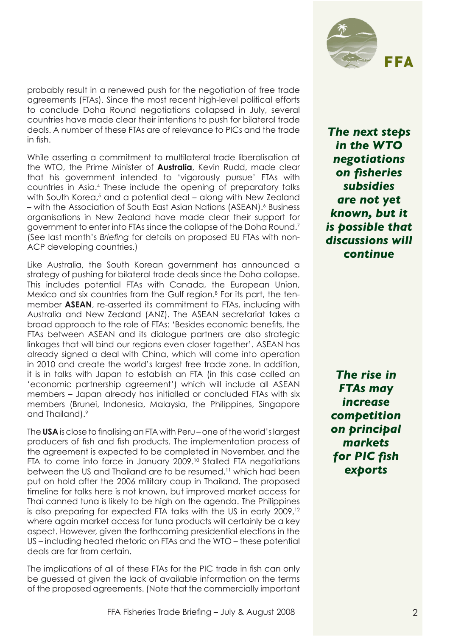probably result in a renewed push for the negotiation of free trade agreements (FTAs). Since the most recent high-level political efforts to conclude Doha Round negotiations collapsed in July, several countries have made clear their intentions to push for bilateral trade deals. A number of these FTAs are of relevance to PICs and the trade in fish.

While asserting a commitment to multilateral trade liberalisation at the WTO, the Prime Minister of **Australia**, Kevin Rudd, made clear that his government intended to 'vigorously pursue' FTAs with countries in Asia.<sup>4</sup> These include the opening of preparatory talks with South Korea,<sup>5</sup> and a potential deal – along with New Zealand – with the Association of South East Asian Nations (ASEAN).<sup>6</sup> Business organisations in New Zealand have made clear their support for government to enter into FTAs since the collapse of the Doha Round.<sup>7</sup> (See last month's *Briefing* for details on proposed EU FTAs with non-ACP developing countries.)

Like Australia, the South Korean government has announced a strategy of pushing for bilateral trade deals since the Doha collapse. This includes potential FTAs with Canada, the European Union, Mexico and six countries from the Gulf region.<sup>8</sup> For its part, the tenmember **ASEAN**, re-asserted its commitment to FTAs, including with Australia and New Zealand (ANZ). The ASEAN secretariat takes a broad approach to the role of FTAs: 'Besides economic benefits, the FTAs between ASEAN and its dialogue partners are also strategic linkages that will bind our regions even closer together'. ASEAN has already signed a deal with China, which will come into operation in 2010 and create the world's largest free trade zone. In addition, it is in talks with Japan to establish an FTA (in this case called an 'economic partnership agreement') which will include all ASEAN members – Japan already has initialled or concluded FTAs with six members (Brunei, Indonesia, Malaysia, the Philippines, Singapore and Thailand).<sup>9</sup>

The **USA** is close to finalising an FTA with Peru – one of the world's largest producers of fish and fish products. The implementation process of the agreement is expected to be completed in November, and the FTA to come into force in January 2009.<sup>10</sup> Stalled FTA negotiations between the US and Thailand are to be resumed,<sup>11</sup> which had been put on hold after the 2006 military coup in Thailand. The proposed timeline for talks here is not known, but improved market access for Thai canned tuna is likely to be high on the agenda. The Philippines is also preparing for expected FTA talks with the US in early 2009,<sup>12</sup> where again market access for tuna products will certainly be a key aspect. However, given the forthcoming presidential elections in the US – including heated rhetoric on FTAs and the WTO – these potential deals are far from certain.

The implications of all of these FTAs for the PIC trade in fish can only be guessed at given the lack of available information on the terms of the proposed agreements. (Note that the commercially important



*The next steps in the WTO negotiations on fisheries subsidies are not yet known, but it is possible that discussions will continue*

*The rise in FTAs may increase competition on principal markets for PIC fish exports*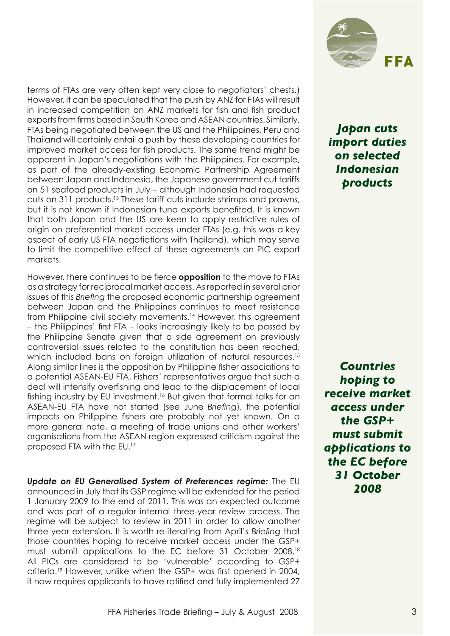terms of FTAs are very often kept very close to negotiators' chests.) However, it can be speculated that the push by ANZ for FTAs will result in increased competition on ANZ markets for fish and fish product exports from firms based in South Korea and ASEAN countries. Similarly, FTAs being negotiated between the US and the Philippines, Peru and Thailand will certainly entail a push by these developing countries for improved market access for fish products. The same trend might be apparent in Japan's negotiations with the Philippines. For example, as part of the already-existing Economic Partnership Agreement between Japan and Indonesia, the Japanese government cut tariffs on 51 seafood products in July – although Indonesia had requested cuts on 311 products.13 These tariff cuts include shrimps and prawns, but it is not known if Indonesian tuna exports benefited. It is known that both Japan and the US are keen to apply restrictive rules of origin on preferential market access under FTAs (e.g. this was a key aspect of early US FTA negotiations with Thailand), which may serve to limit the competitive effect of these agreements on PIC export markets.

However, there continues to be fierce **opposition** to the move to FTAs as a strategy for reciprocal market access. As reported in several prior issues of this *Briefing* the proposed economic partnership agreement between Japan and the Philippines continues to meet resistance from Philippine civil society movements.14 However, this agreement – the Philippines' first FTA – looks increasingly likely to be passed by the Philippine Senate given that a side agreement on previously controversial issues related to the constitution has been reached, which included bans on foreign utilization of natural resources.<sup>15</sup> Along similar lines is the opposition by Philippine fisher associations to a potential ASEAN-EU FTA. Fishers' representatives argue that such a deal will intensify overfishing and lead to the displacement of local fishing industry by EU investment.16 But given that formal talks for an ASEAN-EU FTA have not started (see June *Briefing*), the potential impacts on Philippine fishers are probably not yet known. On a more general note, a meeting of trade unions and other workers' organisations from the ASEAN region expressed criticism against the proposed FTA with the EU.<sup>17</sup>

*Update on EU Generalised System of Preferences regime:* The EU announced in July that its GSP regime will be extended for the period 1 January 2009 to the end of 2011. This was an expected outcome and was part of a regular internal three-year review process. The regime will be subject to review in 2011 in order to allow another three year extension. It is worth re-iterating from April's *Briefing* that those countries hoping to receive market access under the GSP+ must submit applications to the EC before 31 October 2008.18 All PICs are considered to be 'vulnerable' according to GSP+ criteria.19 However, unlike when the GSP+ was first opened in 2004, it now requires applicants to have ratified and fully implemented 27



*Japan cuts import duties on selected Indonesian products*

*Countries hoping to receive market access under the GSP+ must submit applications to the EC before 31 October 2008*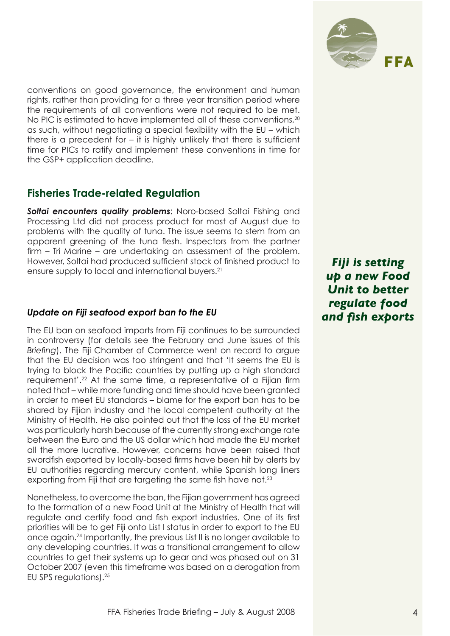

conventions on good governance, the environment and human rights, rather than providing for a three year transition period where the requirements of all conventions were not required to be met. No PIC is estimated to have implemented all of these conventions, 20 as such, without negotiating a special flexibility with the EU – which there *is* a precedent for – it is highly unlikely that there is sufficient time for PICs to ratify and implement these conventions in time for the GSP+ application deadline.

## **Fisheries Trade-related Regulation**

*Soltai encounters quality problems*: Noro-based Soltai Fishing and Processing Ltd did not process product for most of August due to problems with the quality of tuna. The issue seems to stem from an apparent greening of the tuna flesh. Inspectors from the partner firm – Tri Marine – are undertaking an assessment of the problem. However, Soltai had produced sufficient stock of finished product to ensure supply to local and international buyers.<sup>21</sup>

### *Update on Fiji seafood export ban to the EU*

The EU ban on seafood imports from Fiji continues to be surrounded in controversy (for details see the February and June issues of this *Briefing*). The Fiji Chamber of Commerce went on record to argue that the EU decision was too stringent and that 'It seems the EU is trying to block the Pacific countries by putting up a high standard requirement'.22 At the same time, a representative of a Fijian firm noted that – while more funding and time should have been granted in order to meet EU standards – blame for the export ban has to be shared by Fijian industry and the local competent authority at the Ministry of Health. He also pointed out that the loss of the EU market was particularly harsh because of the currently strong exchange rate between the Euro and the US dollar which had made the EU market all the more lucrative. However, concerns have been raised that swordfish exported by locally-based firms have been hit by alerts by EU authorities regarding mercury content, while Spanish long liners exporting from Fiji that are targeting the same fish have not.<sup>23</sup>

Nonetheless, to overcome the ban, the Fijian government has agreed to the formation of a new Food Unit at the Ministry of Health that will regulate and certify food and fish export industries. One of its first priorities will be to get Fiji onto List I status in order to export to the EU once again.24 Importantly, the previous List II is no longer available to any developing countries. It was a transitional arrangement to allow countries to get their systems up to gear and was phased out on 31 October 2007 (even this timeframe was based on a derogation from EU SPS regulations).25

*Fiji is setting up a new Food Unit to better regulate food and fish exports*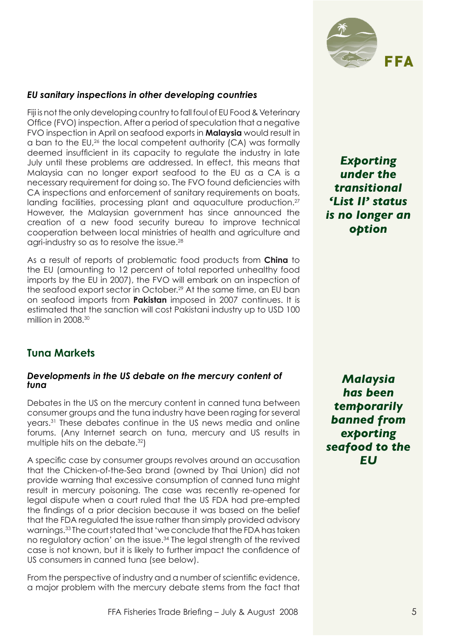

#### *EU sanitary inspections in other developing countries*

Fiji is not the only developing country to fall foul of EU Food & Veterinary Office (FVO) inspection. After a period of speculation that a negative FVO inspection in April on seafood exports in **Malaysia** would result in a ban to the EU,26 the local competent authority (CA) was formally deemed insufficient in its capacity to regulate the industry in late July until these problems are addressed. In effect, this means that Malaysia can no longer export seafood to the EU as a CA is a necessary requirement for doing so. The FVO found deficiencies with CA inspections and enforcement of sanitary requirements on boats, landing facilities, processing plant and aquaculture production.<sup>27</sup> However, the Malaysian government has since announced the creation of a new food security bureau to improve technical cooperation between local ministries of health and agriculture and agri-industry so as to resolve the issue.28

As a result of reports of problematic food products from **China** to the EU (amounting to 12 percent of total reported unhealthy food imports by the EU in 2007), the FVO will embark on an inspection of the seafood export sector in October.<sup>29</sup> At the same time, an EU ban on seafood imports from **Pakistan** imposed in 2007 continues. It is estimated that the sanction will cost Pakistani industry up to USD 100 million in 2008.<sup>30</sup>

### **Tuna Markets**

#### *Developments in the US debate on the mercury content of tuna*

Debates in the US on the mercury content in canned tuna between consumer groups and the tuna industry have been raging for several years.31 These debates continue in the US news media and online forums. (Any Internet search on tuna, mercury and US results in multiple hits on the debate.<sup>32</sup>)

A specific case by consumer groups revolves around an accusation that the Chicken-of-the-Sea brand (owned by Thai Union) did not provide warning that excessive consumption of canned tuna might result in mercury poisoning. The case was recently re-opened for legal dispute when a court ruled that the US FDA had pre-empted the findings of a prior decision because it was based on the belief that the FDA regulated the issue rather than simply provided advisory warnings.33 The court stated that 'we conclude that the FDA has taken no regulatory action' on the issue.34 The legal strength of the revived case is not known, but it is likely to further impact the confidence of US consumers in canned tuna (see below).

From the perspective of industry and a number of scientific evidence, a major problem with the mercury debate stems from the fact that

*Exporting under the transitional 'List II' status is no longer an option*

*Malaysia has been temporarily banned from exporting seafood to the EU*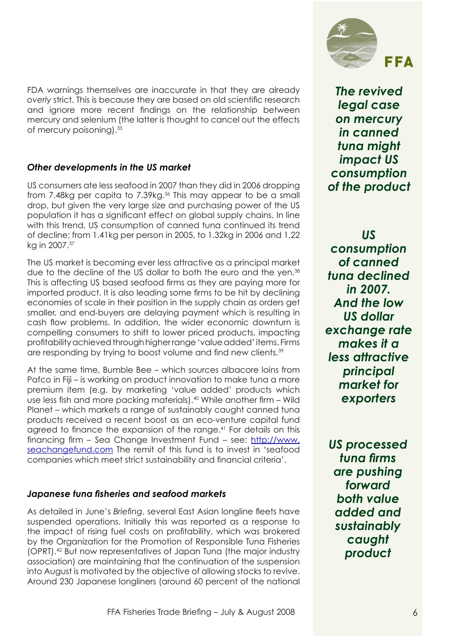FDA warnings themselves are inaccurate in that they are already *overly* strict. This is because they are based on old scientific research and ignore more recent findings on the relationship between mercury and selenium (the latter is thought to cancel out the effects of mercury poisoning).<sup>35</sup>

### *Other developments in the US market*

US consumers ate less seafood in 2007 than they did in 2006 dropping from 7.48kg per capita to 7.39kg.<sup>36</sup> This may appear to be a small drop, but given the very large size and purchasing power of the US population it has a significant effect on global supply chains. In line with this trend, US consumption of canned tuna continued its trend of decline; from 1.41kg per person in 2005, to 1.32kg in 2006 and 1.22 kg in 2007.<sup>37</sup>

The US market is becoming ever less attractive as a principal market due to the decline of the US dollar to both the euro and the yen.<sup>38</sup> This is affecting US based seafood firms as they are paying more for imported product. It is also leading some firms to be hit by declining economies of scale in their position in the supply chain as orders get smaller, and end-buyers are delaying payment which is resulting in cash flow problems. In addition, the wider economic downturn is compelling consumers to shift to lower priced products, impacting profitability achieved through higher range 'value added' items. Firms are responding by trying to boost volume and find new clients.<sup>39</sup>

At the same time, Bumble Bee – which sources albacore loins from Pafco in Fiji – is working on product innovation to make tuna a more premium item (e.g. by marketing 'value added' products which use less fish and more packing materials).40 While another firm – Wild Planet – which markets a range of sustainably caught canned tuna products received a recent boost as an eco-venture capital fund agreed to finance the expansion of the range.<sup>41</sup> For details on this financing firm – Sea Change Investment Fund – see: http://www. seachangefund.com The remit of this fund is to invest in 'seafood companies which meet strict sustainability and financial criteria'.

### *Japanese tuna fisheries and seafood markets*

As detailed in June's *Briefing*, several East Asian longline fleets have suspended operations. Initially this was reported as a response to the impact of rising fuel costs on profitability, which was brokered by the Organization for the Promotion of Responsible Tuna Fisheries (OPRT).42 But now representatives of Japan Tuna (the major industry association) are maintaining that the continuation of the suspension into August is motivated by the objective of allowing stocks to revive. Around 230 Japanese longliners (around 60 percent of the national



*The revived legal case on mercury in canned tuna might impact US consumption of the product*

*US consumption of canned tuna declined in 2007. And the low US dollar exchange rate makes it a less attractive principal market for exporters*

*US processed tuna firms are pushing forward both value added and sustainably caught product*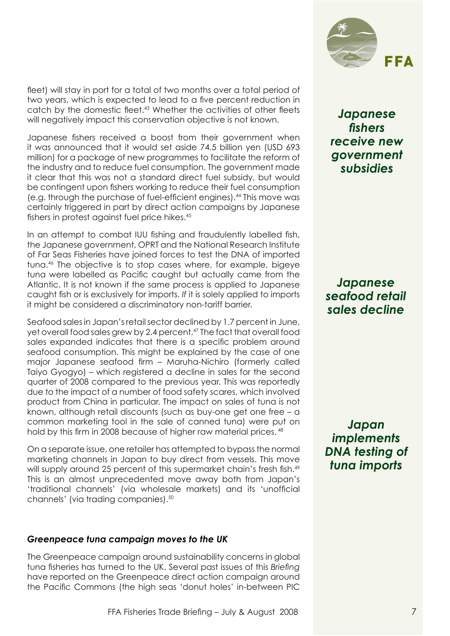fleet) will stay in port for a total of two months over a total period of two years, which is expected to lead to a five percent reduction in catch by the domestic fleet.<sup>43</sup> Whether the activities of other fleets will negatively impact this conservation objective is not known.

Japanese fishers received a boost from their government when it was announced that it would set aside 74.5 billion yen (USD 693 million) for a package of new programmes to facilitate the reform of the industry and to reduce fuel consumption. The government made it clear that this was not a standard direct fuel subsidy, but would be contingent upon fishers working to reduce their fuel consumption (e.g. through the purchase of fuel-efficient engines).44 This move was certainly triggered in part by direct action campaigns by Japanese fishers in protest against fuel price hikes.<sup>45</sup>

In an attempt to combat IUU fishing and fraudulently labelled fish, the Japanese government, OPRT and the National Research Institute of Far Seas Fisheries have joined forces to test the DNA of imported tuna.46 The objective is to stop cases where, for example, bigeye tuna were labelled as Pacific caught but actually came from the Atlantic. It is not known if the same process is applied to Japanese caught fish or is exclusively for imports. *If* it is solely applied to imports it might be considered a discriminatory non-tariff barrier.

Seafood sales in Japan's retail sector declined by 1.7 percent in June, yet overall food sales grew by 2.4 percent.<sup>47</sup> The fact that overall food sales expanded indicates that there is a specific problem around seafood consumption. This might be explained by the case of one major Japanese seafood firm – Maruha-Nichiro (formerly called Taiyo Gyogyo) – which registered a decline in sales for the second quarter of 2008 compared to the previous year. This was reportedly due to the impact of a number of food safety scares, which involved product from China in particular. The impact on sales of tuna is not known, although retail discounts (such as buy-one get one free – a common marketing tool in the sale of canned tuna) were put on hold by this firm in 2008 because of higher raw material prices.  $48$ 

On a separate issue, one retailer has attempted to bypass the normal marketing channels in Japan to buy direct from vessels. This move will supply around 25 percent of this supermarket chain's fresh fish.<sup>49</sup> This is an almost unprecedented move away both from Japan's 'traditional channels' (via wholesale markets) and its 'unofficial channels' (via trading companies).50

#### *Greenpeace tuna campaign moves to the UK*

The Greenpeace campaign around sustainability concerns in global tuna fisheries has turned to the UK. Several past issues of this *Briefing*  have reported on the Greenpeace direct action campaign around the Pacific Commons (the high seas 'donut holes' in-between PIC



*Japanese fishers receive new government subsidies*

*Japanese seafood retail sales decline*

*Japan implements DNA testing of tuna imports*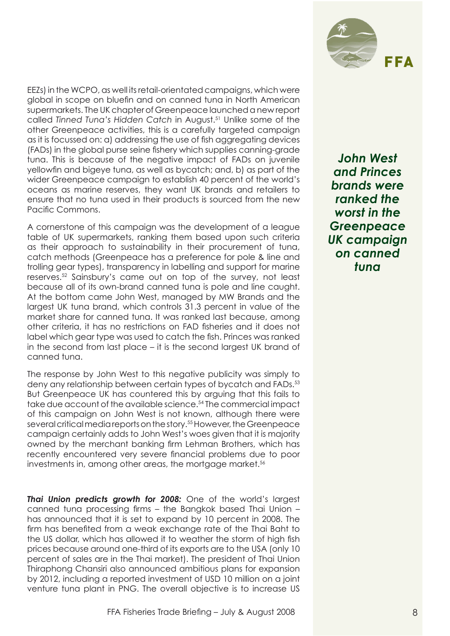

EEZs) in the WCPO, as well its retail-orientated campaigns, which were global in scope on bluefin and on canned tuna in North American supermarkets. The UK chapter of Greenpeace launched a new report called *Tinned Tuna's Hidden Catch* in August.51 Unlike some of the other Greenpeace activities, this is a carefully targeted campaign as it is focussed on: a) addressing the use of fish aggregating devices (FADs) in the global purse seine fishery which supplies canning-grade tuna. This is because of the negative impact of FADs on juvenile yellowfin and bigeye tuna, as well as bycatch; and, b) as part of the wider Greenpeace campaign to establish 40 percent of the world's oceans as marine reserves, they want UK brands and retailers to ensure that no tuna used in their products is sourced from the new Pacific Commons.

A cornerstone of this campaign was the development of a league table of UK supermarkets, ranking them based upon such criteria as their approach to sustainability in their procurement of tuna, catch methods (Greenpeace has a preference for pole & line and trolling gear types), transparency in labelling and support for marine reserves.52 Sainsbury's came out on top of the survey, not least because all of its own-brand canned tuna is pole and line caught. At the bottom came John West, managed by MW Brands and the largest UK tuna brand, which controls 31.3 percent in value of the market share for canned tuna. It was ranked last because, among other criteria, it has no restrictions on FAD fisheries and it does not label which gear type was used to catch the fish. Princes was ranked in the second from last place – it is the second largest UK brand of canned tuna.

The response by John West to this negative publicity was simply to deny any relationship between certain types of bycatch and FADs.<sup>53</sup> But Greenpeace UK has countered this by arguing that this fails to take due account of the available science.<sup>54</sup> The commercial impact of this campaign on John West is not known, although there were several critical media reports on the story.55 However, the Greenpeace campaign certainly adds to John West's woes given that it is majority owned by the merchant banking firm Lehman Brothers, which has recently encountered very severe financial problems due to poor investments in, among other areas, the mortgage market.<sup>56</sup>

*Thai Union predicts growth for 2008:* One of the world's largest canned tuna processing firms – the Bangkok based Thai Union – has announced that it is set to expand by 10 percent in 2008. The firm has benefited from a weak exchange rate of the Thai Baht to the US dollar, which has allowed it to weather the storm of high fish prices because around one-third of its exports are to the USA (only 10 percent of sales are in the Thai market). The president of Thai Union Thiraphong Chansiri also announced ambitious plans for expansion by 2012, including a reported investment of USD 10 million on a joint venture tuna plant in PNG. The overall objective is to increase US

*John West and Princes brands were ranked the worst in the Greenpeace UK campaign on canned tuna*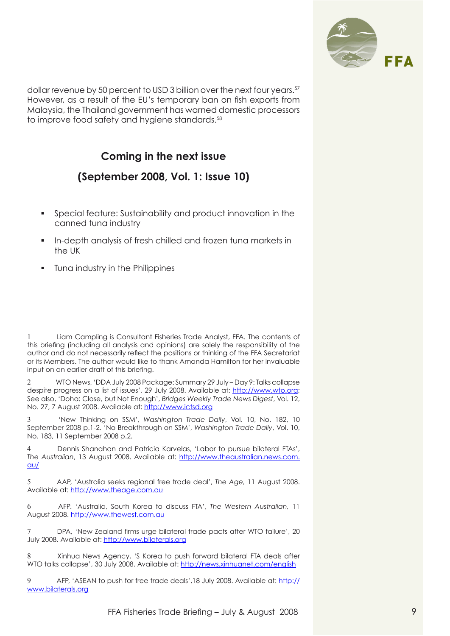

dollar revenue by 50 percent to USD 3 billion over the next four years.<sup>57</sup> However, as a result of the EU's temporary ban on fish exports from Malaysia, the Thailand government has warned domestic processors to improve food safety and hygiene standards.<sup>58</sup>

# **Coming in the next issue**

## **(September 2008, Vol. 1: Issue 10)**

- Special feature: Sustainability and product innovation in the canned tuna industry
- In-depth analysis of fresh chilled and frozen tuna markets in the UK
- Tuna industry in the Philippines

Liam Campling is Consultant Fisheries Trade Analyst, FFA. The contents of this briefing (including all analysis and opinions) are solely the responsibility of the author and do not necessarily reflect the positions or thinking of the FFA Secretariat or its Members. The author would like to thank Amanda Hamilton for her invaluable input on an earlier draft of this briefing.

2 WTO News, 'DDA July 2008 Package: Summary 29 July – Day 9: Talks collapse despite progress on a list of issues', 29 July 2008. Available at: http://www.wto.org; See also, 'Doha: Close, but Not Enough', *Bridges Weekly Trade News Digest*, Vol. 12, No. 27, 7 August 2008. Available at: http://www.ictsd.org

3 'New Thinking on SSM', *Washington Trade Daily*, Vol. 10, No. 182, 10 September 2008 p.1-2. 'No Breakthrough on SSM', *Washington Trade Daily*, Vol. 10, No. 183, 11 September 2008 p.2.

Dennis Shanahan and Patricia Karvelas, 'Labor to pursue bilateral FTAs', *The Australian*, 13 August 2008. Available at: http://www.theaustralian.news.com. au/

5 AAP, 'Australia seeks regional free trade deal', *The Age,* 11 August 2008. Available at: http://www.theage.com.au

6 AFP. 'Australia, South Korea to discuss FTA', *The Western Australian,* 11 August 2008. http://www.thewest.com.au

7 DPA, 'New Zealand firms urge bilateral trade pacts after WTO failure', 20 July 2008. Available at: http://www.bilaterals.org

8 Xinhua News Agency, 'S Korea to push forward bilateral FTA deals after WTO talks collapse', 30 July 2008. Available at: http://news.xinhuanet.com/english

9 AFP, 'ASEAN to push for free trade deals', 18 July 2008. Available at: http:// www.bilaterals.org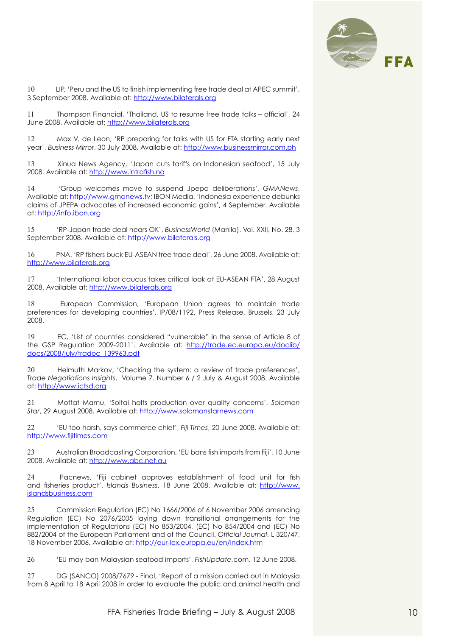

10 LIP, 'Peru and the US to finish implementing free trade deal at APEC summit', 3 September 2008. Available at: http://www.bilaterals.org

11 Thompson Financial, 'Thailand, US to resume free trade talks – official', 24 June 2008. Available at: http://www.bilaterals.org

12 Max V. de Leon, 'RP preparing for talks with US for FTA starting early next year', *Business Mirror*, 30 July 2008. Available at: http://www.businessmirror.com.ph

13 Xinua News Agency, 'Japan cuts tariffs on Indonesian seafood', 15 July 2008. Available at: http://www.intrafish.no

14 'Group welcomes move to suspend Jpepa deliberations', *GMANews*, Available at: http://www.gmanews.tv; IBON Media, 'Indonesia experience debunks claims of JPEPA advocates of increased economic gains', 4 September. Available at: http://info.ibon.org

15 'RP-Japan trade deal nears OK', *BusinessWorld* (Manila), Vol. XXII, No. 28, 3 September 2008. Available at: http://www.bilaterals.org

16 PNA, 'RP fishers buck EU-ASEAN free trade deal', 26 June 2008. Available at: http://www.bilaterals.org

17 'International labor caucus takes critical look at EU-ASEAN FTA', 28 August 2008. Available at: http://www.bilaterals.org

18 European Commission, 'European Union agrees to maintain trade preferences for developing countries', IP/08/1192, Press Release, Brussels, 23 July 2008.

19 EC, 'List of countries considered "vulnerable" in the sense of Article 8 of the GSP Regulation 2009-2011'. Available at: http://trade.ec.europa.eu/doclib/ docs/2008/july/tradoc\_139963.pdf

20 Helmuth Markov, 'Checking the system: a review of trade preferences', *Trade Negotiations Insights*, Volume 7. Number 6 / 2 July & August 2008. Available at: http://www.ictsd.org

21 Moffat Mamu, 'Soltai halts production over quality concerns', *Solomon Star*, 29 August 2008. Available at: http://www.solomonstarnews.com

22 'EU too harsh, says commerce chief', *Fiji Times*, 20 June 2008. Available at: http://www.fijitimes.com

23 Australian Broadcasting Corporation, 'EU bans fish imports from Fiji', 10 June 2008. Available at: http://www.abc.net.au

24 Pacnews, 'Fiji cabinet approves establishment of food unit for fish and fisheries product', *Islands Business*, 18 June 2008. Available at: http://www. islandsbusiness.com

25 Commission Regulation (EC) No 1666/2006 of 6 November 2006 amending Regulation (EC) No 2076/2005 laying down transitional arrangements for the implementation of Regulations (EC) No 853/2004, (EC) No 854/2004 and (EC) No 882/2004 of the European Parliament and of the Council. *Official Journal*, L 320/47, 18 November 2006. Available at: http://eur-lex.europa.eu/en/index.htm

26 'EU may ban Malaysian seafood imports', *FishUpdate.*com, 12 June 2008.

27 DG (SANCO) 2008/7679 - Final, 'Report of a mission carried out in Malaysia from 8 April to 18 April 2008 in order to evaluate the public and animal health and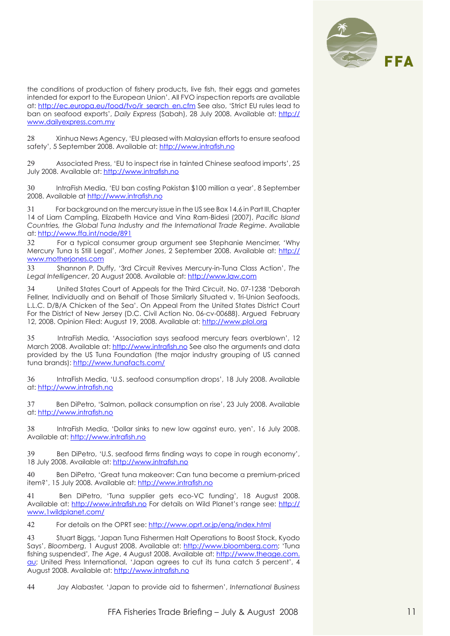

the conditions of production of fishery products, live fish, their eggs and gametes intended for export to the European Union'. All FVO inspection reports are available at: http://ec.europa.eu/food/fvo/ir\_search\_en.cfm See also, 'Strict EU rules lead to ban on seafood exports', *Daily Express* (Sabah), 28 July 2008. Available at: http:// www.dailyexpress.com.my

28 Xinhua News Agency, 'EU pleased with Malaysian efforts to ensure seafood safety', 5 September 2008. Available at: http://www.intrafish.no

29 Associated Press, 'EU to inspect rise in tainted Chinese seafood imports', 25 July 2008. Available at: http://www.intrafish.no

30 IntraFish Media, 'EU ban costing Pakistan \$100 million a year', 8 September 2008. Available at http://www.intrafish.no

31 For background on the mercury issue in the US see Box 14.6 in Part III, Chapter 14 of Liam Campling, Elizabeth Havice and Vina Ram-Bidesi (2007), *Pacific Island Countries, the Global Tuna Industry and the International Trade Regime*. Available at: http://www.ffa.int/node/891

32 For a typical consumer group argument see Stephanie Mencimer, 'Why Mercury Tuna Is Still Legal', *Mother Jones*, 2 September 2008. Available at: http:// www.motherjones.com

33 Shannon P. Duffy, '3rd Circuit Revives Mercury-in-Tuna Class Action', *The Legal Intelligencer*, 20 August 2008. Available at: http://www.law.com

34 United States Court of Appeals for the Third Circuit, No. 07-1238 'Deborah Fellner, Individually and on Behalf of Those Similarly Situated v. Tri-Union Seafoods, L.L.C. D/B/A Chicken of the Sea'. On Appeal From the United States District Court For the District of New Jersey (D.C. Civil Action No. 06-cv-00688). Argued February 12, 2008. Opinion Filed: August 19, 2008. Available at: http://www.plol.org

35 IntraFish Media, 'Association says seafood mercury fears overblown', 12 March 2008. Available at: http://www.intrafish.no See also the arguments and data provided by the US Tuna Foundation (the major industry grouping of US canned tuna brands): http://www.tunafacts.com/

36 IntraFish Media, 'U.S. seafood consumption drops', 18 July 2008. Available at: http://www.intrafish.no

37 Ben DiPetro, 'Salmon, pollack consumption on rise', 23 July 2008. Available at: http://www.intrafish.no

38 IntraFish Media, 'Dollar sinks to new low against euro, yen', 16 July 2008. Available at: http://www.intrafish.no

39 Ben DiPetro, 'U.S. seafood firms finding ways to cope in rough economy', 18 July 2008. Available at: http://www.intrafish.no

40 Ben DiPetro, 'Great tuna makeover: Can tuna become a premium-priced item?', 15 July 2008. Available at: http://www.intrafish.no

41 Ben DiPetro, 'Tuna supplier gets eco-VC funding', 18 August 2008. Available at: http://www.intrafish.no For details on Wild Planet's range see: http:// www.1wildplanet.com/

42 For details on the OPRT see: http://www.oprt.or.jp/eng/index.html

43 Stuart Biggs, 'Japan Tuna Fishermen Halt Operations to Boost Stock, Kyodo Says', *Bloomberg*, 1 August 2008. Available at: http://www.bloomberg.com; 'Tuna fishing suspended'*, The Age*, 4 August 2008. Available at: http://www.theage.com. au; United Press International, 'Japan agrees to cut its tuna catch 5 percent', 4 August 2008. Available at: http://www.intrafish.no

44 Jay Alabaster, 'Japan to provide aid to fishermen', *International Business*